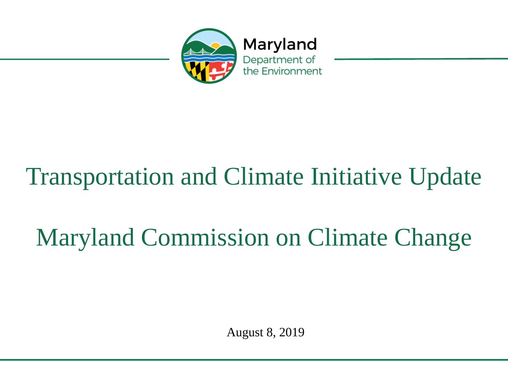

# Transportation and Climate Initiative Update

# Maryland Commission on Climate Change

August 8, 2019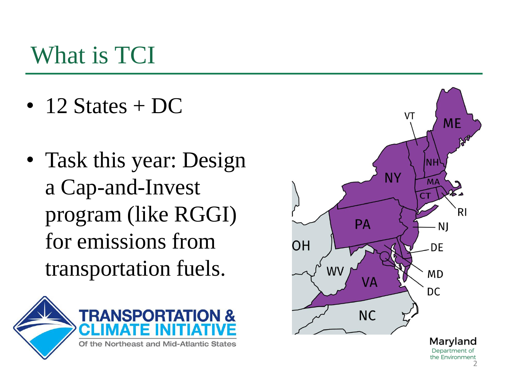#### What is TCI

- 12 States +  $DC$
- Task this year: Design a Cap-and-Invest program (like RGGI) for emissions from transportation fuels.





2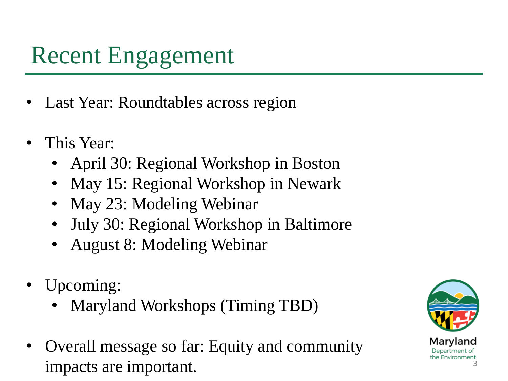### Recent Engagement

- Last Year: Roundtables across region
- This Year:
	- April 30: Regional Workshop in Boston
	- May 15: Regional Workshop in Newark
	- May 23: Modeling Webinar
	- July 30: Regional Workshop in Baltimore
	- August 8: Modeling Webinar
- Upcoming:
	- Maryland Workshops (Timing TBD)
- Overall message so far: Equity and community impacts are important.

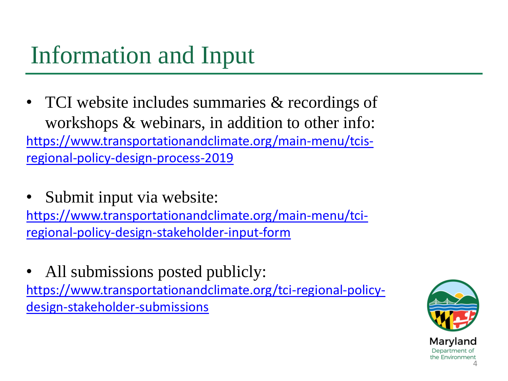### Information and Input

- TCI website includes summaries & recordings of workshops & webinars, in addition to other info: [https://www.transportationandclimate.org/main-menu/tcis](https://www.transportationandclimate.org/main-menu/tcis-regional-policy-design-process-2019)[regional-policy-design-process-2019](https://www.transportationandclimate.org/main-menu/tcis-regional-policy-design-process-2019)
- Submit input via website: [https://www.transportationandclimate.org/main-menu/tci](https://www.transportationandclimate.org/main-menu/tci-regional-policy-design-stakeholder-input-form)[regional-policy-design-stakeholder-input-form](https://www.transportationandclimate.org/main-menu/tci-regional-policy-design-stakeholder-input-form)
- All submissions posted publicly: [https://www.transportationandclimate.org/tci-regional-policy](https://www.transportationandclimate.org/tci-regional-policy-design-stakeholder-submissions)[design-stakeholder-submissions](https://www.transportationandclimate.org/tci-regional-policy-design-stakeholder-submissions)

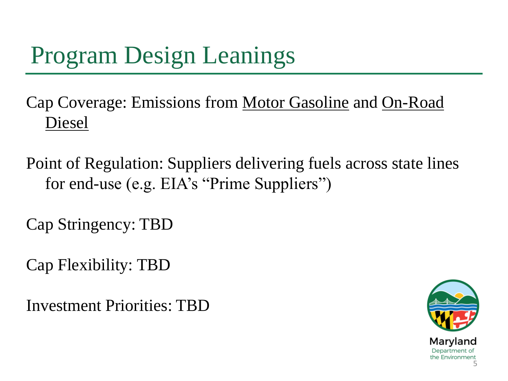## Program Design Leanings

Cap Coverage: Emissions from Motor Gasoline and On-Road Diesel

Point of Regulation: Suppliers delivering fuels across state lines for end-use (e.g. EIA's "Prime Suppliers")

Cap Stringency: TBD

Cap Flexibility: TBD

Investment Priorities: TBD

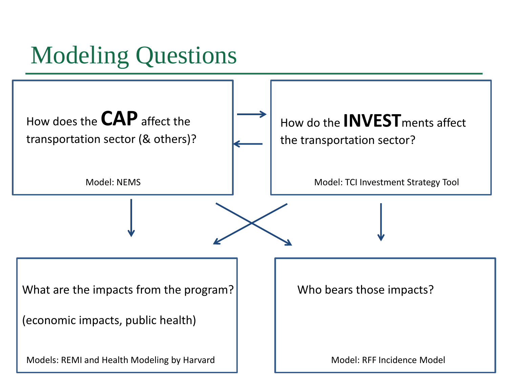### Modeling Questions